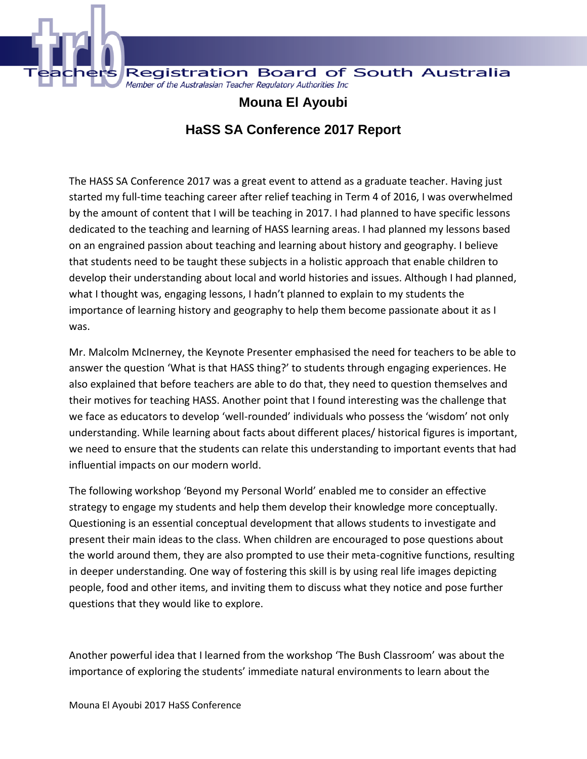

**Registration Board of South Australia** Member of the Australasian Teacher Regulatory Authorities Inc

## **Mouna El Ayoubi**

## **HaSS SA Conference 2017 Report**

The HASS SA Conference 2017 was a great event to attend as a graduate teacher. Having just started my full-time teaching career after relief teaching in Term 4 of 2016, I was overwhelmed by the amount of content that I will be teaching in 2017. I had planned to have specific lessons dedicated to the teaching and learning of HASS learning areas. I had planned my lessons based on an engrained passion about teaching and learning about history and geography. I believe that students need to be taught these subjects in a holistic approach that enable children to develop their understanding about local and world histories and issues. Although I had planned, what I thought was, engaging lessons, I hadn't planned to explain to my students the importance of learning history and geography to help them become passionate about it as I was.

Mr. Malcolm McInerney, the Keynote Presenter emphasised the need for teachers to be able to answer the question 'What is that HASS thing?' to students through engaging experiences. He also explained that before teachers are able to do that, they need to question themselves and their motives for teaching HASS. Another point that I found interesting was the challenge that we face as educators to develop 'well-rounded' individuals who possess the 'wisdom' not only understanding. While learning about facts about different places/ historical figures is important, we need to ensure that the students can relate this understanding to important events that had influential impacts on our modern world.

The following workshop 'Beyond my Personal World' enabled me to consider an effective strategy to engage my students and help them develop their knowledge more conceptually. Questioning is an essential conceptual development that allows students to investigate and present their main ideas to the class. When children are encouraged to pose questions about the world around them, they are also prompted to use their meta-cognitive functions, resulting in deeper understanding. One way of fostering this skill is by using real life images depicting people, food and other items, and inviting them to discuss what they notice and pose further questions that they would like to explore.

Another powerful idea that I learned from the workshop 'The Bush Classroom' was about the importance of exploring the students' immediate natural environments to learn about the